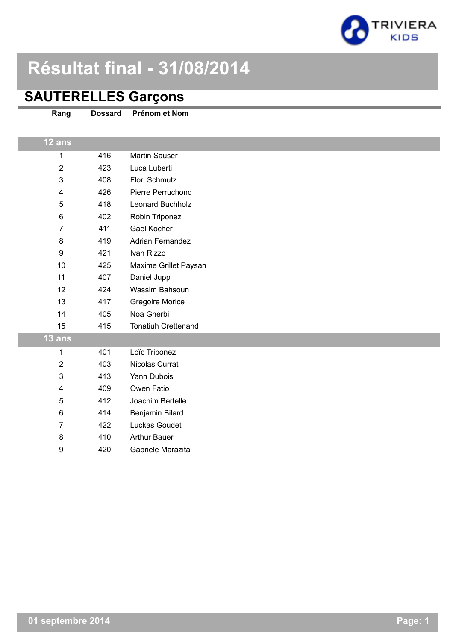

# **Résultat final - 31/08/2014**

### **SAUTERELLES Garçons**

| Rang             | <b>Dossard</b> | Prénom et Nom           |
|------------------|----------------|-------------------------|
| 12 ans           |                |                         |
| $\mathbf{1}$     | 416            | Martin Sauser           |
| $\overline{2}$   | 423            | Luca Luberti            |
| $\mathfrak{S}$   | 408            | Flori Schmutz           |
| 4                | 426            | Pierre Perruchond       |
| $\sqrt{5}$       | 418            | Leonard Buchholz        |
| $\,6$            | 402            | Robin Triponez          |
| $\overline{7}$   | 411            | <b>Gael Kocher</b>      |
| 8                | 419            | <b>Adrian Fernandez</b> |
| $\boldsymbol{9}$ | 421            | Ivan Rizzo              |
| 10               | 425            | Maxime Grillet Paysan   |
| 11               | 407            | Daniel Jupp             |
| 12               | 424            | Wassim Bahsoun          |
| 13               | 417            | <b>Gregoire Morice</b>  |
| 14               | 405            | Noa Gherbi              |
| 15               | 415            | Tonatiuh Crettenand     |
| 13 ans           |                |                         |
| 1                | 401            | Loïc Triponez           |
| $\boldsymbol{2}$ | 403            | Nicolas Currat          |
| 3                | 413            | Yann Dubois             |
| 4                | 409            | Owen Fatio              |
| 5                | 412            | Joachim Bertelle        |
| $\,6$            | 414            | Benjamin Bilard         |
| $\overline{7}$   | 422            | Luckas Goudet           |
| 8                | 410            | <b>Arthur Bauer</b>     |
| 9                | 420            | Gabriele Marazita       |
|                  |                |                         |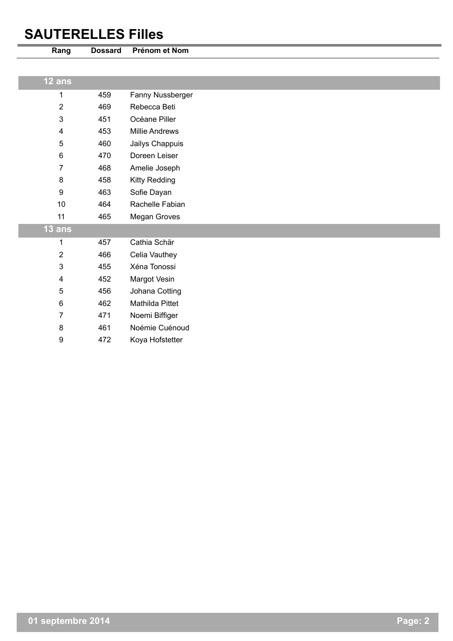# **SAUTERELLES Filles**

| Rang           | <b>Dossard</b> | Prénom et Nom          |
|----------------|----------------|------------------------|
|                |                |                        |
| 12 ans         |                |                        |
| 1              | 459            | Fanny Nussberger       |
| $\overline{2}$ | 469            | Rebecca Beti           |
| $\mathsf 3$    | 451            | Océane Piller          |
| 4              | 453            | <b>Millie Andrews</b>  |
| 5              | 460            | Jailys Chappuis        |
| 6              | 470            | Doreen Leiser          |
| 7              | 468            | Amelie Joseph          |
| 8              | 458            | Kitty Redding          |
| 9              | 463            | Sofie Dayan            |
| 10             | 464            | Rachelle Fabian        |
| 11             | 465            | Megan Groves           |
| $13$ ans       |                |                        |
| 1              | 457            | Cathia Schär           |
| $\overline{2}$ | 466            | Celia Vauthey          |
| 3              | 455            | Xéna Tonossi           |
| 4              | 452            | Margot Vesin           |
| 5              | 456            | Johana Cotting         |
| 6              | 462            | <b>Mathilda Pittet</b> |
| 7              | 471            | Noemi Biffiger         |
| 8              | 461            | Noémie Cuénoud         |
| 9              | 472            | Koya Hofstetter        |
|                |                |                        |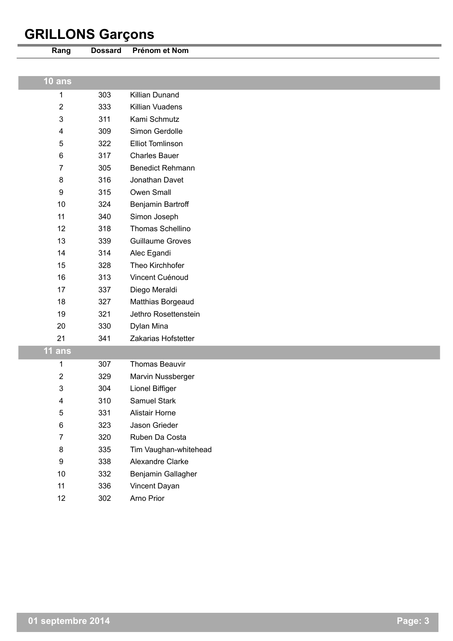# **GRILLONS Garçons**

| Rang             | <b>Dossard</b> | Prénom et Nom           |
|------------------|----------------|-------------------------|
|                  |                |                         |
| 10 ans           |                |                         |
| 1                | 303            | Killian Dunand          |
| $\overline{2}$   | 333            | Killian Vuadens         |
| $\mathbf{3}$     | 311            | Kami Schmutz            |
| 4                | 309            | Simon Gerdolle          |
| 5                | 322            | <b>Elliot Tomlinson</b> |
| $\,6\,$          | 317            | <b>Charles Bauer</b>    |
| 7                | 305            | <b>Benedict Rehmann</b> |
| 8                | 316            | Jonathan Davet          |
| $\boldsymbol{9}$ | 315            | Owen Small              |
| 10               | 324            | Benjamin Bartroff       |
| 11               | 340            | Simon Joseph            |
| 12               | 318            | Thomas Schellino        |
| 13               | 339            | <b>Guillaume Groves</b> |
| 14               | 314            | Alec Egandi             |
| 15               | 328            | Theo Kirchhofer         |
| 16               | 313            | Vincent Cuénoud         |
| 17               | 337            | Diego Meraldi           |
| 18               | 327            | Matthias Borgeaud       |
| 19               | 321            | Jethro Rosettenstein    |
| 20               | 330            | Dylan Mina              |
| 21               | 341            | Zakarias Hofstetter     |
| $11$ ans         |                |                         |
| 1                | 307            | <b>Thomas Beauvir</b>   |
| 2                | 329            | Marvin Nussberger       |
| 3                | 304            | Lionel Biffiger         |
| 4                | 310            | Samuel Stark            |
| 5                | 331            | <b>Alistair Horne</b>   |
| $\,6\,$          | 323            | Jason Grieder           |
| $\overline{7}$   | 320            | Ruben Da Costa          |
| 8                | 335            | Tim Vaughan-whitehead   |
| $\boldsymbol{9}$ | 338            | Alexandre Clarke        |
| $10$             | 332            | Benjamin Gallagher      |
| 11               | 336            | Vincent Dayan           |

302 Arno Prior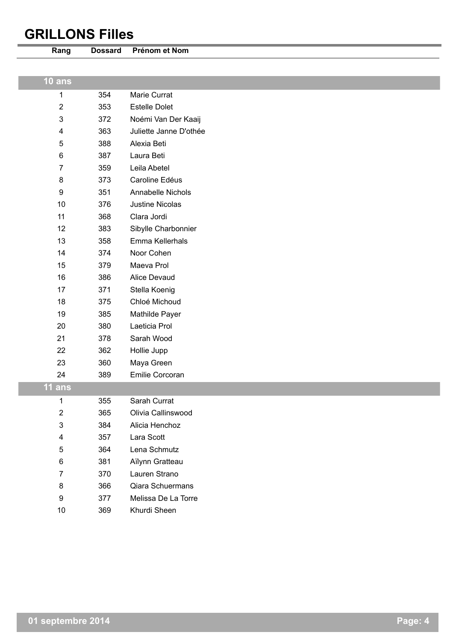### **GRILLONS Filles**

| Rang           | <b>Dossard</b> | Prénom et Nom          |
|----------------|----------------|------------------------|
|                |                |                        |
| $10$ ans       |                |                        |
| $\mathbf 1$    | 354            | Marie Currat           |
| $\overline{2}$ | 353            | <b>Estelle Dolet</b>   |
| $\mathfrak{S}$ | 372            | Noémi Van Der Kaaij    |
| 4              | 363            | Juliette Janne D'othée |
| 5              | 388            | Alexia Beti            |
| 6              | 387            | Laura Beti             |
| $\overline{7}$ | 359            | Leila Abetel           |
| 8              | 373            | Caroline Edéus         |
| 9              | 351            | Annabelle Nichols      |
| 10             | 376            | <b>Justine Nicolas</b> |
| 11             | 368            | Clara Jordi            |
| 12             | 383            | Sibylle Charbonnier    |
| 13             | 358            | Emma Kellerhals        |
| 14             | 374            | Noor Cohen             |
| 15             | 379            | Maeva Prol             |
| 16             | 386            | Alice Devaud           |
| 17             | 371            | Stella Koenig          |
| 18             | 375            | Chloé Michoud          |
| 19             | 385            | Mathilde Payer         |
| 20             | 380            | Laeticia Prol          |
| 21             | 378            | Sarah Wood             |
| 22             | 362            | Hollie Jupp            |
| 23             | 360            | Maya Green             |
| 24             | 389            | Emilie Corcoran        |
| <b>11 ans</b>  |                |                        |
| 1              | 355            | Sarah Currat           |
| $\overline{2}$ | 365            | Olivia Callinswood     |
| $\mathfrak{S}$ | 384            | Alicia Henchoz         |
| 4              | 357            | Lara Scott             |
| 5              | 364            | Lena Schmutz           |
| 6              | 381            | Aïlynn Gratteau        |
| $\overline{7}$ | 370            | Lauren Strano          |
| 8              | 366            | Qiara Schuermans       |
| 9              | 377            | Melissa De La Torre    |
| $10$           | 369            | Khurdi Sheen           |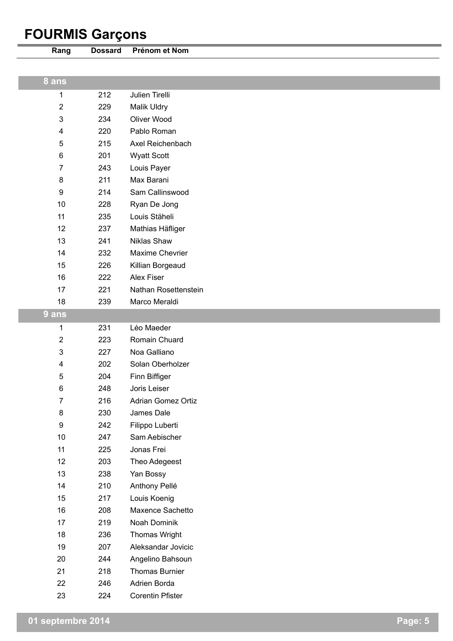# **FOURMIS Garçons**

| Rang                    | <b>Dossard</b> | Prénom et Nom         |
|-------------------------|----------------|-----------------------|
|                         |                |                       |
| 8 ans                   |                |                       |
| 1                       | 212            | Julien Tirelli        |
| $\boldsymbol{2}$        | 229            | Malik Uldry           |
| $\mathfrak{B}$          | 234            | Oliver Wood           |
| 4                       | 220            | Pablo Roman           |
| 5                       | 215            | Axel Reichenbach      |
| 6                       | 201            | <b>Wyatt Scott</b>    |
| $\overline{7}$          | 243            | Louis Payer           |
| 8                       | 211            | Max Barani            |
| $\boldsymbol{9}$        | 214            | Sam Callinswood       |
| 10                      | 228            | Ryan De Jong          |
| 11                      | 235            | Louis Stäheli         |
| 12                      | 237            | Mathias Häfliger      |
| 13                      | 241            | Niklas Shaw           |
| 14                      | 232            | Maxime Chevrier       |
| 15                      | 226            | Killian Borgeaud      |
| 16                      | 222            | Alex Fiser            |
| 17                      | 221            | Nathan Rosettenstein  |
| 18                      | 239            | Marco Meraldi         |
| 9 ans                   |                |                       |
| 1                       | 231            | Léo Maeder            |
| $\overline{\mathbf{c}}$ | 223            | Romain Chuard         |
| 3                       | 227            | Noa Galliano          |
| 4                       | 202            | Solan Oberholzer      |
| 5                       | 204            | Finn Biffiger         |
| 6                       | 248            | Joris Leiser          |
| $\overline{7}$          | 216            | Adrian Gomez Ortiz    |
| $\bf 8$                 | 230            | James Dale            |
| $\boldsymbol{9}$        | 242            | Filippo Luberti       |
| $10$                    | 247            | Sam Aebischer         |
| 11                      | 225            | Jonas Frei            |
| 12                      | 203            | Theo Adegeest         |
| 13                      | 238            | Yan Bossy             |
| 14                      | 210            | Anthony Pellé         |
| 15                      | 217            | Louis Koenig          |
| 16                      | 208            | Maxence Sachetto      |
| 17                      | 219            | Noah Dominik          |
| 18                      | 236            | Thomas Wright         |
| 19                      | 207            | Aleksandar Jovicic    |
| 20                      | 244            | Angelino Bahsoun      |
| 21                      | 218            | <b>Thomas Burnier</b> |

246 Adrien Borda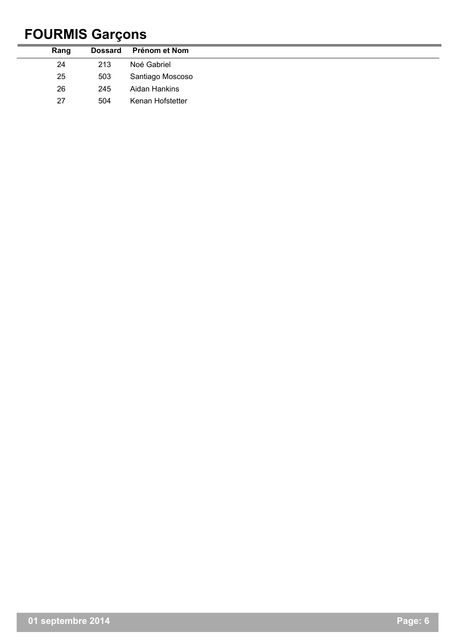# **FOURMIS Garçons**

| Rang | <b>Dossard</b> | Prénom et Nom    |
|------|----------------|------------------|
| 24   | 213            | Noé Gabriel      |
| 25   | 503            | Santiago Moscoso |
| 26   | 245            | Aidan Hankins    |
| 27   | 504            | Kenan Hofstetter |
|      |                |                  |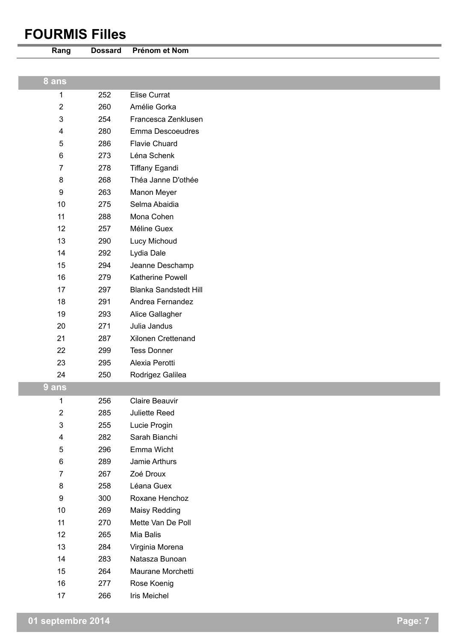### **FOURMIS Filles**



**Rang Dossard Prénom et Nom**

#### **8 ans**

252 Elise Currat

260 Amélie Gorka

- 254 Francesca Zenklusen
- 280 Emma Descoeudres
- 286 Flavie Chuard 273 Léna Schenk
- 278 Tiffany Egandi
- 268 Théa Janne D'othée 263 Manon Meyer
- 275 Selma Abaidia
- 288 Mona Cohen 257 Méline Guex
- 290 Lucy Michoud 292 Lydia Dale
- 294 Jeanne Deschamp
	- 279 Katherine Powell 297 Blanka Sandstedt Hill
	- 291 Andrea Fernandez
	- 293 Alice Gallagher
	- 271 Julia Jandus
	- 287 Xilonen Crettenand
	- 299 Tess Donner
	- 295 Alexia Perotti
	- 250 Rodrigez Galilea

**9 ans**

| 1              | 256 | Claire Beauvir    |
|----------------|-----|-------------------|
| $\overline{2}$ | 285 | Juliette Reed     |
| 3              | 255 | Lucie Progin      |
| 4              | 282 | Sarah Bianchi     |
| 5              | 296 | Emma Wicht        |
| 6              | 289 | Jamie Arthurs     |
| 7              | 267 | Zoé Droux         |
| 8              | 258 | Léana Guex        |
| 9              | 300 | Roxane Henchoz    |
| 10             | 269 | Maisy Redding     |
| 11             | 270 | Mette Van De Poll |
| 12             | 265 | Mia Balis         |
| 13             | 284 | Virginia Morena   |
| 14             | 283 | Natasza Bunoan    |

- 264 Maurane Morchetti
- 277 Rose Koenig
- 266 Iris Meichel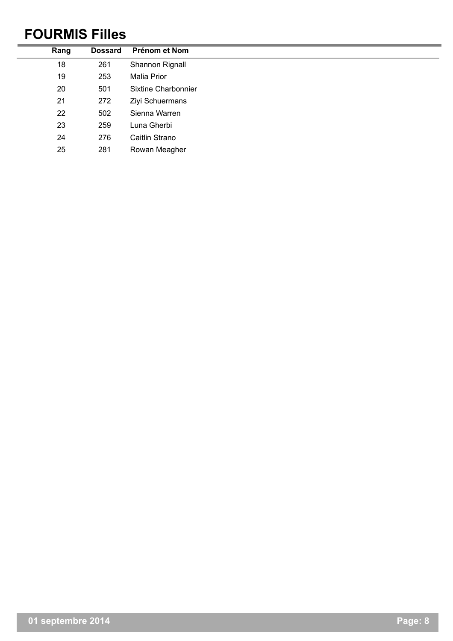## **FOURMIS Filles**

| Rang | <b>Dossard</b> | Prénom et Nom       |
|------|----------------|---------------------|
| 18   | 261            | Shannon Rignall     |
| 19   | 253            | <b>Malia Prior</b>  |
| 20   | 501            | Sixtine Charbonnier |
| 21   | 272            | Ziyi Schuermans     |
| 22   | 502            | Sienna Warren       |
| 23   | 259            | Luna Gherbi         |
| 24   | 276            | Caitlin Strano      |
| 25   | 281            | Rowan Meagher       |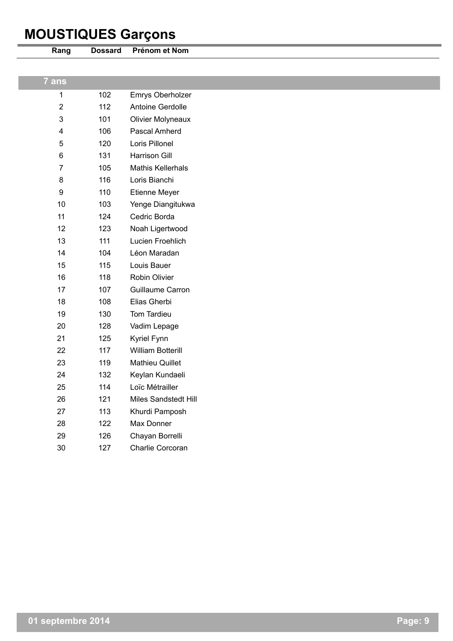# **MOUSTIQUES Garçons**



**Rang Dossard Prénom et Nom**

| 7 ans                   |     |                             |
|-------------------------|-----|-----------------------------|
| $\mathbf{1}$            | 102 | Emrys Oberholzer            |
| $\overline{2}$          | 112 | Antoine Gerdolle            |
| $\mathfrak{B}$          | 101 | <b>Olivier Molyneaux</b>    |
| $\overline{\mathbf{4}}$ | 106 | Pascal Amherd               |
| $\sqrt{5}$              | 120 | Loris Pillonel              |
| 6                       | 131 | <b>Harrison Gill</b>        |
| $\overline{7}$          | 105 | <b>Mathis Kellerhals</b>    |
| 8                       | 116 | Loris Bianchi               |
| $\boldsymbol{9}$        | 110 | Etienne Meyer               |
| 10                      | 103 | Yenge Diangitukwa           |
| 11                      | 124 | Cedric Borda                |
| 12                      | 123 | Noah Ligertwood             |
| 13                      | 111 | Lucien Froehlich            |
| 14                      | 104 | Léon Maradan                |
| 15                      | 115 | Louis Bauer                 |
| 16                      | 118 | Robin Olivier               |
| 17                      | 107 | Guillaume Carron            |
| 18                      | 108 | Elias Gherbi                |
| 19                      | 130 | Tom Tardieu                 |
| 20                      | 128 | Vadim Lepage                |
| 21                      | 125 | Kyriel Fynn                 |
| 22                      | 117 | <b>William Botterill</b>    |
| 23                      | 119 | Mathieu Quillet             |
| 24                      | 132 | Keylan Kundaeli             |
| 25                      | 114 | Loïc Métrailler             |
| 26                      | 121 | <b>Miles Sandstedt Hill</b> |
| 27                      | 113 | Khurdi Pamposh              |
| 28                      | 122 | Max Donner                  |
| 29                      | 126 | Chayan Borrelli             |
| 30                      | 127 | Charlie Corcoran            |
|                         |     |                             |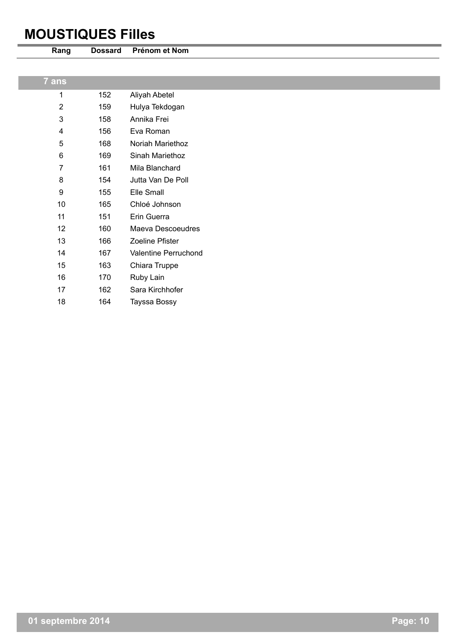### **MOUSTIQUES Filles**



**Rang Dossard Prénom et Nom**

| $\overline{7}$ ans      |     |                      |
|-------------------------|-----|----------------------|
| 1                       | 152 | Aliyah Abetel        |
| $\overline{2}$          | 159 | Hulya Tekdogan       |
| $\mathbf{3}$            | 158 | Annika Frei          |
| $\overline{\mathbf{4}}$ | 156 | Eva Roman            |
| 5                       | 168 | Noriah Mariethoz     |
| $\,6$                   | 169 | Sinah Mariethoz      |
| $\overline{7}$          | 161 | Mila Blanchard       |
| 8                       | 154 | Jutta Van De Poll    |
| $\boldsymbol{9}$        | 155 | Elle Small           |
| 10                      | 165 | Chloé Johnson        |
| 11                      | 151 | Erin Guerra          |
| 12                      | 160 | Maeva Descoeudres    |
| 13                      | 166 | Zoeline Pfister      |
| 14                      | 167 | Valentine Perruchond |
| 15                      | 163 | Chiara Truppe        |
| 16                      | 170 | Ruby Lain            |
| 17                      | 162 | Sara Kirchhofer      |
| 18                      | 164 | Tayssa Bossy         |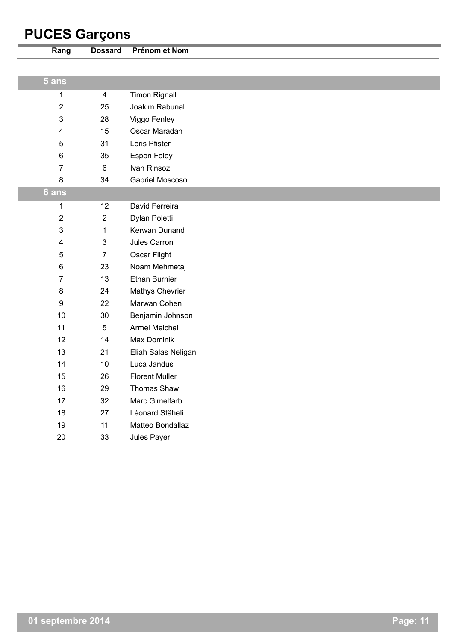# **PUCES Garçons**

| Rang    | <b>Dossard</b> | Prénom et Nom          |
|---------|----------------|------------------------|
|         |                |                        |
| $5$ ans |                |                        |
| 1       | $\overline{4}$ | <b>Timon Rignall</b>   |
| 2       | 25             | Joakim Rabunal         |
| 3       | 28             | Viggo Fenley           |
| 4       | 15             | Oscar Maradan          |
| 5       | 31             | Loris Pfister          |
| 6       | 35             | Espon Foley            |
| 7       | $\,6\,$        | Ivan Rinsoz            |
| 8       | 34             | Gabriel Moscoso        |
| 6 ans   |                |                        |
| 1       | 12             | David Ferreira         |
| 2       | $\overline{2}$ | Dylan Poletti          |
| 3       | $\mathbf 1$    | Kerwan Dunand          |
| 4       | 3              | Jules Carron           |
| 5       | $\overline{7}$ | Oscar Flight           |
| 6       | 23             | Noam Mehmetaj          |
| 7       | 13             | <b>Ethan Burnier</b>   |
| 8       | 24             | <b>Mathys Chevrier</b> |
| 9       | 22             | Marwan Cohen           |
| 10      | 30             | Benjamin Johnson       |
| 11      | $\sqrt{5}$     | <b>Armel Meichel</b>   |
| 12      | 14             | Max Dominik            |
| 13      | 21             | Eliah Salas Neligan    |
| 14      | 10             | Luca Jandus            |
| 15      | 26             | <b>Florent Muller</b>  |
| 16      | 29             | Thomas Shaw            |
| 17      | 32             | Marc Gimelfarb         |
| 18      | 27             | Léonard Stäheli        |
| 19      | 11             | Matteo Bondallaz       |
| 20      | 33             | Jules Payer            |